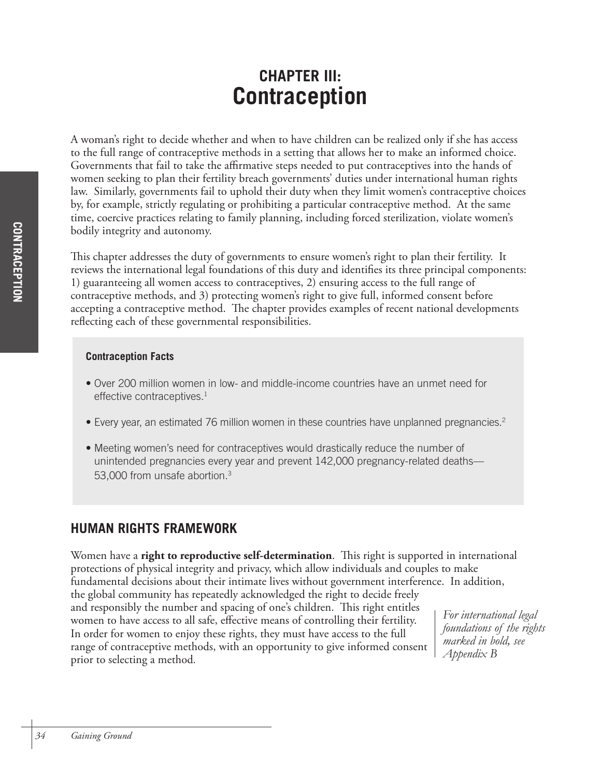# **CHAPTER III: Contraception**

A woman's right to decide whether and when to have children can be realized only if she has access to the full range of contraceptive methods in a setting that allows her to make an informed choice. Governments that fail to take the affirmative steps needed to put contraceptives into the hands of women seeking to plan their fertility breach governments' duties under international human rights law. Similarly, governments fail to uphold their duty when they limit women's contraceptive choices by, for example, strictly regulating or prohibiting a particular contraceptive method. At the same time, coercive practices relating to family planning, including forced sterilization, violate women's bodily integrity and autonomy.

This chapter addresses the duty of governments to ensure women's right to plan their fertility. It reviews the international legal foundations of this duty and identifies its three principal components: 1) guaranteeing all women access to contraceptives, 2) ensuring access to the full range of contraceptive methods, and 3) protecting women's right to give full, informed consent before accepting a contraceptive method. The chapter provides examples of recent national developments reflecting each of these governmental responsibilities.

## **Contraception Facts**

- Over 200 million women in low- and middle-income countries have an unmet need for effective contraceptives.<sup>1</sup>
- Every year, an estimated 76 million women in these countries have unplanned pregnancies.<sup>2</sup>
- Meeting women's need for contraceptives would drastically reduce the number of unintended pregnancies every year and prevent 142,000 pregnancy-related deaths— 53,000 from unsafe abortion.<sup>3</sup>

## **HUMAN RIGHTS FRAMEWORK**

Women have a **right to reproductive self-determination**. This right is supported in international protections of physical integrity and privacy, which allow individuals and couples to make fundamental decisions about their intimate lives without government interference. In addition, the global community has repeatedly acknowledged the right to decide freely and responsibly the number and spacing of one's children. This right entitles women to have access to all safe, effective means of controlling their fertility. In order for women to enjoy these rights, they must have access to the full range of contraceptive methods, with an opportunity to give informed consent prior to selecting a method. *For international legal foundations of the rights marked in bold, see Appendix B*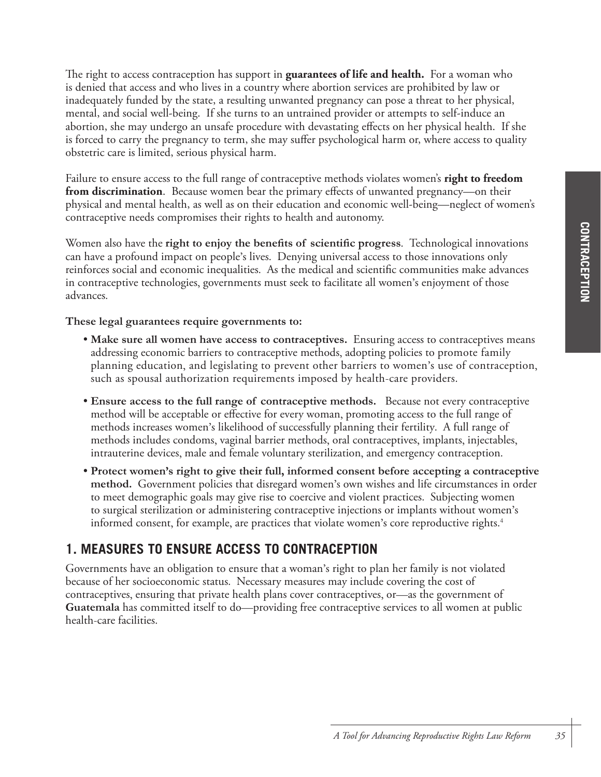The right to access contraception has support in **guarantees of life and health.** For a woman who is denied that access and who lives in a country where abortion services are prohibited by law or inadequately funded by the state, a resulting unwanted pregnancy can pose a threat to her physical, mental, and social well-being. If she turns to an untrained provider or attempts to self-induce an abortion, she may undergo an unsafe procedure with devastating effects on her physical health. If she is forced to carry the pregnancy to term, she may suffer psychological harm or, where access to quality obstetric care is limited, serious physical harm.

Failure to ensure access to the full range of contraceptive methods violates women's **right to freedom from discrimination**. Because women bear the primary effects of unwanted pregnancy—on their physical and mental health, as well as on their education and economic well-being—neglect of women's contraceptive needs compromises their rights to health and autonomy.

Women also have the **right to enjoy the benefits of scientific progress**. Technological innovations can have a profound impact on people's lives. Denying universal access to those innovations only reinforces social and economic inequalities. As the medical and scientific communities make advances in contraceptive technologies, governments must seek to facilitate all women's enjoyment of those advances.

**These legal guarantees require governments to:**

- **Make sure all women have access to contraceptives.** Ensuring access to contraceptives means addressing economic barriers to contraceptive methods, adopting policies to promote family planning education, and legislating to prevent other barriers to women's use of contraception, such as spousal authorization requirements imposed by health-care providers.
- **Ensure access to the full range of contraceptive methods.** Because not every contraceptive method will be acceptable or effective for every woman, promoting access to the full range of methods increases women's likelihood of successfully planning their fertility. A full range of methods includes condoms, vaginal barrier methods, oral contraceptives, implants, injectables, intrauterine devices, male and female voluntary sterilization, and emergency contraception.
- **Protect women's right to give their full, informed consent before accepting a contraceptive method.** Government policies that disregard women's own wishes and life circumstances in order to meet demographic goals may give rise to coercive and violent practices. Subjecting women to surgical sterilization or administering contraceptive injections or implants without women's informed consent, for example, are practices that violate women's core reproductive rights. 4

## **1. MEASURES TO ENSURE ACCESS TO CONTRACEPTION**

Governments have an obligation to ensure that a woman's right to plan her family is not violated because of her socioeconomic status. Necessary measures may include covering the cost of contraceptives, ensuring that private health plans cover contraceptives, or—as the government of **Guatemala** has committed itself to do—providing free contraceptive services to all women at public health-care facilities.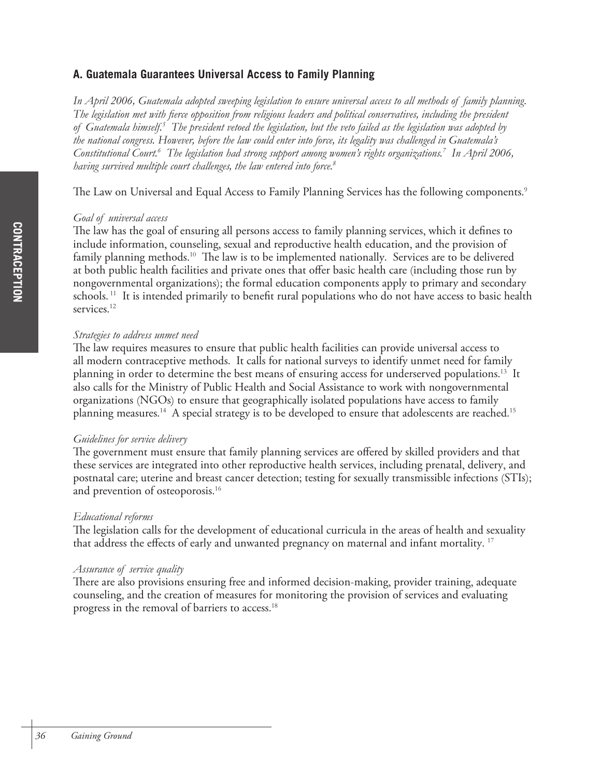## **A. Guatemala Guarantees Universal Access to Family Planning**

*In April 2006, Guatemala adopted sweeping legislation to ensure universal access to all methods of family planning. The legislation met with fierce opposition from religious leaders and political conservatives, including the president of Guatemala himself.5 The president vetoed the legislation, but the veto failed as the legislation was adopted by the national congress. However, before the law could enter into force, its legality was challenged in Guatemala's Constitutional Court.6 The legislation had strong support among women's rights organizations.7 In April 2006, having survived multiple court challenges, the law entered into force.8*

The Law on Universal and Equal Access to Family Planning Services has the following components.<sup>9</sup>

#### *Goal of universal access*

The law has the goal of ensuring all persons access to family planning services, which it defines to include information, counseling, sexual and reproductive health education, and the provision of family planning methods.<sup>10</sup> The law is to be implemented nationally. Services are to be delivered at both public health facilities and private ones that offer basic health care (including those run by nongovernmental organizations); the formal education components apply to primary and secondary schools.<sup>11</sup> It is intended primarily to benefit rural populations who do not have access to basic health services.<sup>12</sup>

## *Strategies to address unmet need*

The law requires measures to ensure that public health facilities can provide universal access to all modern contraceptive methods. It calls for national surveys to identify unmet need for family planning in order to determine the best means of ensuring access for underserved populations.<sup>13</sup> It also calls for the Ministry of Public Health and Social Assistance to work with nongovernmental organizations (NGOs) to ensure that geographically isolated populations have access to family planning measures. 14 A special strategy is to be developed to ensure that adolescents are reached. 15

### *Guidelines for service delivery*

The government must ensure that family planning services are offered by skilled providers and that these services are integrated into other reproductive health services, including prenatal, delivery, and postnatal care; uterine and breast cancer detection; testing for sexually transmissible infections (STIs); and prevention of osteoporosis. 16

### *Educational reforms*

The legislation calls for the development of educational curricula in the areas of health and sexuality that address the effects of early and unwanted pregnancy on maternal and infant mortality. 17

### *Assurance of service quality*

There are also provisions ensuring free and informed decision-making, provider training, adequate counseling, and the creation of measures for monitoring the provision of services and evaluating progress in the removal of barriers to access. 18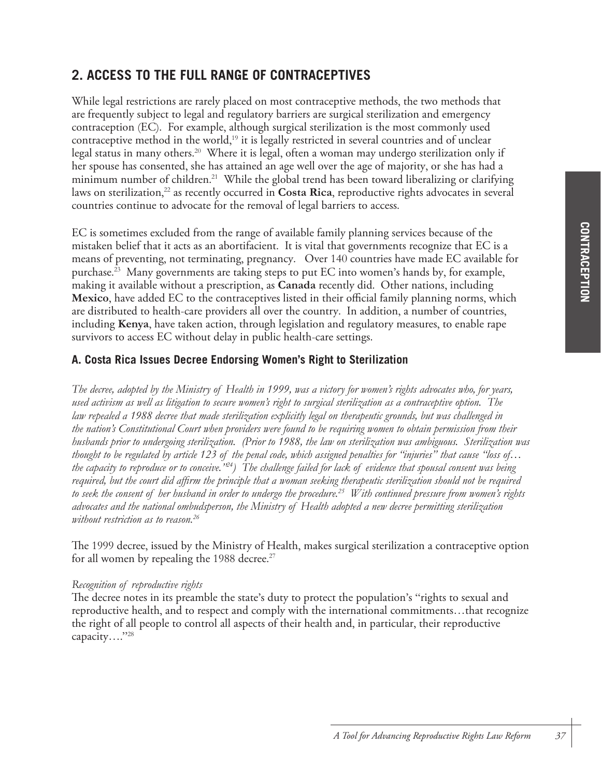## **2. ACCESS TO THE FULL RANGE OF CONTRACEPTIVES**

While legal restrictions are rarely placed on most contraceptive methods, the two methods that are frequently subject to legal and regulatory barriers are surgical sterilization and emergency contraception (EC). For example, although surgical sterilization is the most commonly used contraceptive method in the world, <sup>19</sup> it is legally restricted in several countries and of unclear legal status in many others. 20 Where it is legal, often a woman may undergo sterilization only if her spouse has consented, she has attained an age well over the age of majority, or she has had a minimum number of children. 21 While the global trend has been toward liberalizing or clarifying laws on sterilization, <sup>22</sup> as recently occurred in **Costa Rica**, reproductive rights advocates in several countries continue to advocate for the removal of legal barriers to access.

EC is sometimes excluded from the range of available family planning services because of the mistaken belief that it acts as an abortifacient. It is vital that governments recognize that EC is a means of preventing, not terminating, pregnancy. Over 140 countries have made EC available for purchase. 23 Many governments are taking steps to put EC into women's hands by, for example, making it available without a prescription, as **Canada** recently did. Other nations, including **Mexico**, have added EC to the contraceptives listed in their official family planning norms, which are distributed to health-care providers all over the country. In addition, a number of countries, including **Kenya**, have taken action, through legislation and regulatory measures, to enable rape survivors to access EC without delay in public health-care settings.

## **A. Costa Rica Issues Decree Endorsing Women's Right to Sterilization**

*The decree, adopted by the Ministry of Health in 1999, was a victory for women's rights advocates who, for years, used activism as well as litigation to secure women's right to surgical sterilization as a contraceptive option. The law repealed a 1988 decree that made sterilization explicitly legal on therapeutic grounds, but was challenged in the nation's Constitutional Court when providers were found to be requiring women to obtain permission from their husbands prior to undergoing sterilization. (Prior to 1988, the law on sterilization was ambiguous. Sterilization was thought to be regulated by article 123 of the penal code, which assigned penalties for "injuries" that cause "loss of… the capacity to reproduce or to conceive."24) The challenge failed for lack of evidence that spousal consent was being required, but the court did affirm the principle that a woman seeking therapeutic sterilization should not be required to seek the consent of her husband in order to undergo the procedure.25 With continued pressure from women's rights advocates and the national ombudsperson, the Ministry of Health adopted a new decree permitting sterilization without restriction as to reason.26*

The 1999 decree, issued by the Ministry of Health, makes surgical sterilization a contraceptive option for all women by repealing the 1988 decree.<sup>27</sup>

### *Recognition of reproductive rights*

The decree notes in its preamble the state's duty to protect the population's "rights to sexual and reproductive health, and to respect and comply with the international commitments…that recognize the right of all people to control all aspects of their health and, in particular, their reproductive capacity...."<sup>28</sup>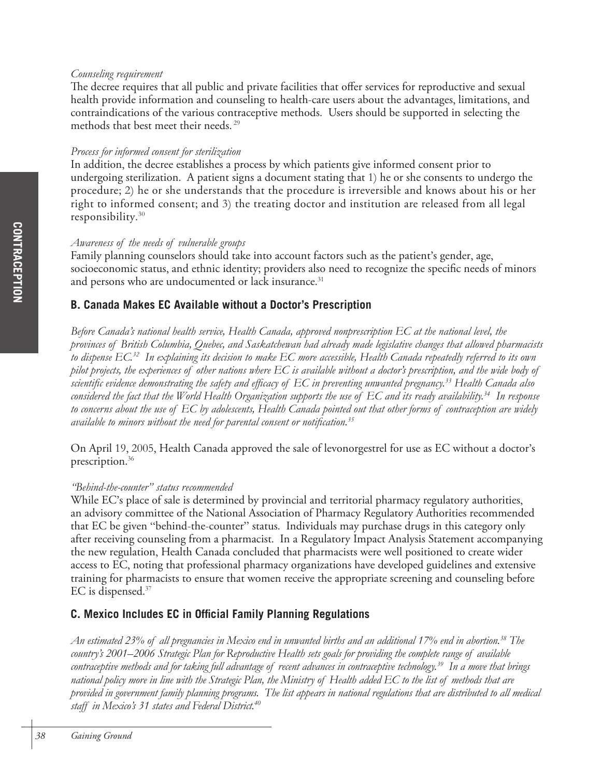#### *Counseling requirement*

The decree requires that all public and private facilities that offer services for reproductive and sexual health provide information and counseling to health-care users about the advantages, limitations, and contraindications of the various contraceptive methods. Users should be supported in selecting the methods that best meet their needs. 29

#### *Process for informed consent for sterilization*

In addition, the decree establishes a process by which patients give informed consent prior to undergoing sterilization. A patient signs a document stating that 1) he or she consents to undergo the procedure; 2) he or she understands that the procedure is irreversible and knows about his or her right to informed consent; and 3) the treating doctor and institution are released from all legal responsibility. 30

## *Awareness of the needs of vulnerable groups*

Family planning counselors should take into account factors such as the patient's gender, age, socioeconomic status, and ethnic identity; providers also need to recognize the specific needs of minors and persons who are undocumented or lack insurance. 31

## **B. Canada Makes EC Available without a Doctor's Prescription**

*Before Canada's national health service, Health Canada, approved nonprescription EC at the national level, the provinces of British Columbia, Quebec, and Saskatchewan had already made legislative changes that allowed pharmacists to dispense EC.32 In explaining its decision to make EC more accessible, Health Canada repeatedly referred to its own pilot projects, the experiences of other nations where EC is available without a doctor's prescription, and the wide body of scientific evidence demonstrating the safety and efficacy of EC in preventing unwanted pregnancy.33 Health Canada also considered the fact that the World Health Organization supports the use of EC and its ready availability.34 In response to concerns about the use of EC by adolescents, Health Canada pointed out that other forms of contraception are widely available to minors without the need for parental consent or notification.35*

On April 19, 2005, Health Canada approved the sale of levonorgestrel for use as EC without a doctor's prescription. 36

### *"Behind-the-counter" status recommended*

While EC's place of sale is determined by provincial and territorial pharmacy regulatory authorities, an advisory committee of the National Association of Pharmacy Regulatory Authorities recommended that EC be given "behind-the-counter" status. Individuals may purchase drugs in this category only after receiving counseling from a pharmacist. In a Regulatory Impact Analysis Statement accompanying the new regulation, Health Canada concluded that pharmacists were well positioned to create wider access to EC, noting that professional pharmacy organizations have developed guidelines and extensive training for pharmacists to ensure that women receive the appropriate screening and counseling before EC is dispensed. 37

## **C. Mexico Includes EC in Official Family Planning Regulations**

*An estimated 23% of all pregnancies in Mexico end in unwanted births and an additional 17% end in abortion.38 The country's 2001–2006 Strategic Plan for Reproductive Health sets goals for providing the complete range of available contraceptive methods and for taking full advantage of recent advances in contraceptive technology.39 In a move that brings national policy more in line with the Strategic Plan, the Ministry of Health added EC to the list of methods that are provided in government family planning programs. The list appears in national regulations that are distributed to all medical staff in Mexico's 31 states and Federal District.40*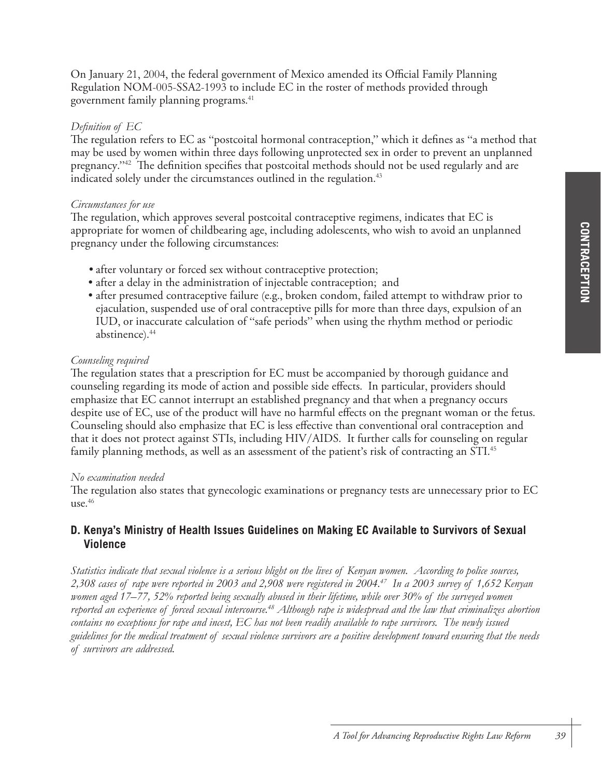On January 21, 2004, the federal government of Mexico amended its Official Family Planning Regulation NOM-005-SSA2-1993 to include EC in the roster of methods provided through government family planning programs. 41

#### *Definition of EC*

The regulation refers to EC as "postcoital hormonal contraception," which it defines as "a method that may be used by women within three days following unprotected sex in order to prevent an unplanned pregnancy."42 The definition specifies that postcoital methods should not be used regularly and are indicated solely under the circumstances outlined in the regulation. 43

#### *Circumstances for use*

The regulation, which approves several postcoital contraceptive regimens, indicates that EC is appropriate for women of childbearing age, including adolescents, who wish to avoid an unplanned pregnancy under the following circumstances:

- after voluntary or forced sex without contraceptive protection;
- after a delay in the administration of injectable contraception; and
- after presumed contraceptive failure (e.g., broken condom, failed attempt to withdraw prior to ejaculation, suspended use of oral contraceptive pills for more than three days, expulsion of an IUD, or inaccurate calculation of "safe periods" when using the rhythm method or periodic abstinence).<sup>44</sup>

#### *Counseling required*

The regulation states that a prescription for EC must be accompanied by thorough guidance and counseling regarding its mode of action and possible side effects. In particular, providers should emphasize that EC cannot interrupt an established pregnancy and that when a pregnancy occurs despite use of EC, use of the product will have no harmful effects on the pregnant woman or the fetus. Counseling should also emphasize that EC is less effective than conventional oral contraception and that it does not protect against STIs, including HIV/AIDS. It further calls for counseling on regular family planning methods, as well as an assessment of the patient's risk of contracting an STI. 45

#### *No examination needed*

The regulation also states that gynecologic examinations or pregnancy tests are unnecessary prior to EC use. 46

## **D. Kenya's Ministry of Health Issues Guidelines on Making EC Available to Survivors of Sexual Violence**

*Statistics indicate that sexual violence is a serious blight on the lives of Kenyan women. According to police sources, 2,308 cases of rape were reported in 2003 and 2,908 were registered in 2004.47 In a 2003 survey of 1,652 Kenyan women aged 17–77, 52% reported being sexually abused in their lifetime, while over 30% of the surveyed women reported an experience of forced sexual intercourse.48 Although rape is widespread and the law that criminalizes abortion contains no exceptions for rape and incest, EC has not been readily available to rape survivors. The newly issued guidelines for the medical treatment of sexual violence survivors are a positive development toward ensuring that the needs of survivors are addressed.*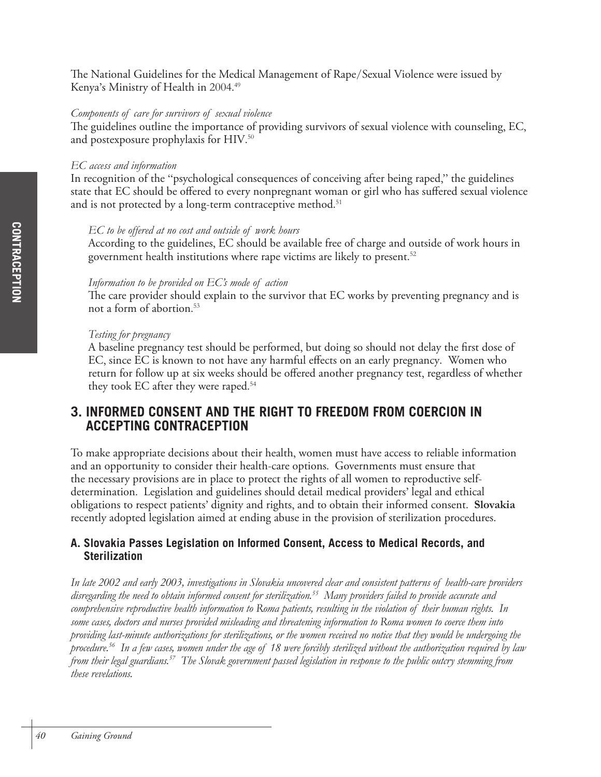The National Guidelines for the Medical Management of Rape/Sexual Violence were issued by Kenya's Ministry of Health in 2004.<sup>49</sup>

#### *Components of care for survivors of sexual violence*

The guidelines outline the importance of providing survivors of sexual violence with counseling, EC, and postexposure prophylaxis for HIV. 50

#### *EC access and information*

In recognition of the "psychological consequences of conceiving after being raped," the guidelines state that EC should be offered to every nonpregnant woman or girl who has suffered sexual violence and is not protected by a long-term contraceptive method. 51

#### *EC to be offered at no cost and outside of work hours*

According to the guidelines, EC should be available free of charge and outside of work hours in government health institutions where rape victims are likely to present. 52

#### *Information to be provided on EC's mode of action*

The care provider should explain to the survivor that EC works by preventing pregnancy and is not a form of abortion. 53

#### *Testing for pregnancy*

A baseline pregnancy test should be performed, but doing so should not delay the first dose of EC, since EC is known to not have any harmful effects on an early pregnancy. Women who return for follow up at six weeks should be offered another pregnancy test, regardless of whether they took EC after they were raped. 54

## **3. INFORMED CONSENT AND THE RIGHT TO FREEDOM FROM COERCION IN ACCEPTING CONTRACEPTION**

To make appropriate decisions about their health, women must have access to reliable information and an opportunity to consider their health-care options. Governments must ensure that the necessary provisions are in place to protect the rights of all women to reproductive selfdetermination. Legislation and guidelines should detail medical providers' legal and ethical obligations to respect patients' dignity and rights, and to obtain their informed consent. **Slovakia** recently adopted legislation aimed at ending abuse in the provision of sterilization procedures.

## **A. Slovakia Passes Legislation on Informed Consent, Access to Medical Records, and Sterilization**

*In late 2002 and early 2003, investigations in Slovakia uncovered clear and consistent patterns of health-care providers disregarding the need to obtain informed consent for sterilization.55 Many providers failed to provide accurate and comprehensive reproductive health information to Roma patients, resulting in the violation of their human rights. In some cases, doctors and nurses provided misleading and threatening information to Roma women to coerce them into providing last-minute authorizations for sterilizations, or the women received no notice that they would be undergoing the procedure.56 In a few cases, women under the age of 18 were forcibly sterilized without the authorization required by law from their legal guardians.57 The Slovak government passed legislation in response to the public outcry stemming from these revelations.*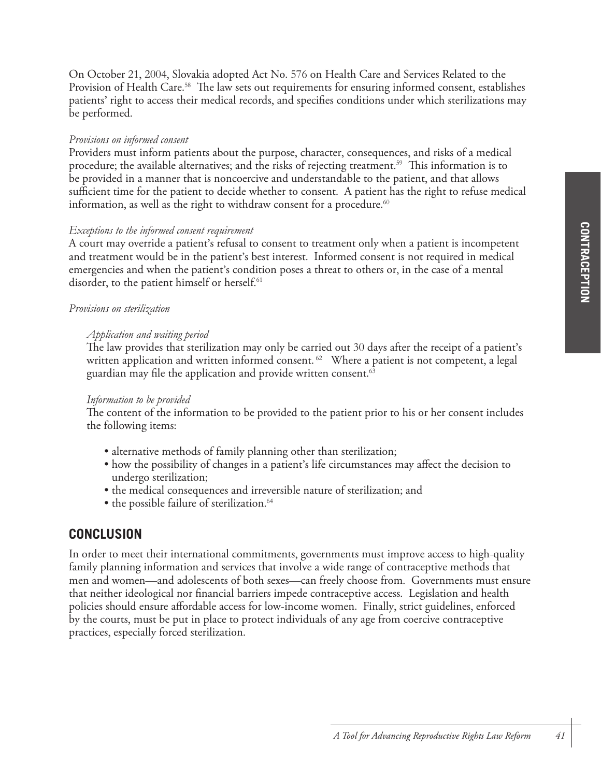On October 21, 2004, Slovakia adopted Act No. 576 on Health Care and Services Related to the Provision of Health Care.<sup>58</sup> The law sets out requirements for ensuring informed consent, establishes patients' right to access their medical records, and specifies conditions under which sterilizations may be performed.

#### *Provisions on informed consent*

Providers must inform patients about the purpose, character, consequences, and risks of a medical procedure; the available alternatives; and the risks of rejecting treatment. 59 This information is to be provided in a manner that is noncoercive and understandable to the patient, and that allows sufficient time for the patient to decide whether to consent. A patient has the right to refuse medical information, as well as the right to withdraw consent for a procedure. $^{\scriptscriptstyle{60}}$ 

#### *Exceptions to the informed consent requirement*

A court may override a patient's refusal to consent to treatment only when a patient is incompetent and treatment would be in the patient's best interest. Informed consent is not required in medical emergencies and when the patient's condition poses a threat to others or, in the case of a mental disorder, to the patient himself or herself. 61

#### *Provisions on sterilization*

#### *Application and waiting period*

The law provides that sterilization may only be carried out 30 days after the receipt of a patient's written application and written informed consent.  $^{62}$  Where a patient is not competent, a legal guardian may file the application and provide written consent. 63

#### *Information to be provided*

The content of the information to be provided to the patient prior to his or her consent includes the following items:

- alternative methods of family planning other than sterilization;
- how the possibility of changes in a patient's life circumstances may affect the decision to undergo sterilization;
- the medical consequences and irreversible nature of sterilization; and
- the possible failure of sterilization. 64

## **CONCLUSION**

In order to meet their international commitments, governments must improve access to high-quality family planning information and services that involve a wide range of contraceptive methods that men and women—and adolescents of both sexes—can freely choose from. Governments must ensure that neither ideological nor financial barriers impede contraceptive access. Legislation and health policies should ensure affordable access for low-income women. Finally, strict guidelines, enforced by the courts, must be put in place to protect individuals of any age from coercive contraceptive practices, especially forced sterilization.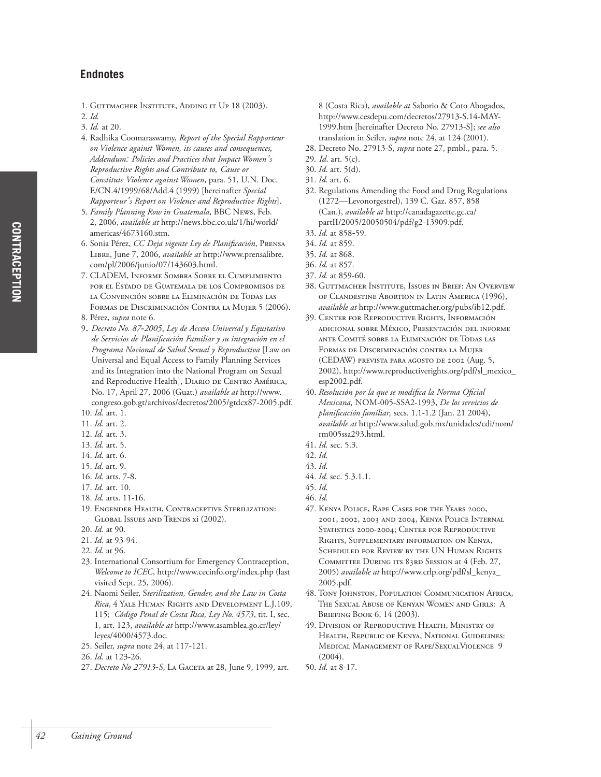1. GUTTMACHER INSTITUTE, ADDING IT UP 18 (2003).

- 3. *Id.* at 20.
- 4. Radhika Coomaraswamy, *Report of the Special Rapporteur on Violence against Women, its causes and consequences, Addendum: Policies and Practices that Impact Women's Reproductive Rights and Contribute to, Cause or Constitute Violence against Women*, para. 51, U.N. Doc. E/CN.4/1999/68/Add.4 (1999) [hereinafter *Special Rapporteur's Report on Violence and Reproductive Rights*].
- 5. *Family Planning Row in Guatemala*, BBC NEWS, Feb. 2, 2006, *available at* http://news.bbc.co.uk/1/hi/world/ americas/4673160.stm.
- 6. Sonia Pérez, *CC Deja vigente Ley de Planificación*, PRENSA LIBRE, June 7, 2006, *available at* http://www.prensalibre. com/pl/2006/junio/07/143603.html.
- 7. CLADEM, INFORME SOMBRA SOBRE EL CUMPLIMIENTO POR EL ESTADO DE GUATEMALA DE LOS COMPROMISOS DE LA CONVENCIÓN SOBRE LA ELIMINACIÓN DE TODAS LAS FORMAS DE DISCRIMINACIÓN CONTRA LA MUJER 5 (2006).
- 8. Pérez, *supra* note 6.
- 9. *Decreto No. 87-2005*, *Ley de Acceso Universal y Equitativo de Servicios de Planificación Familiar y su integración en el Programa Nacional de Salud Sexual y Reproductiva* [Law on Universal and Equal Access to Family Planning Services and its Integration into the National Program on Sexual and Reproductive Health], DIARIO DE CENTRO AMÉRICA, No. 17, April 27, 2006 (Guat.) *available at* http://www.

congreso.gob.gt/archivos/decretos/2005/gtdcx87-2005.pdf. 10. *Id.* art. 1.

- 11. *Id.* art. 2.
- 12. *Id.* art. 3.
- 13. *Id.* art. 5.
- 14. *Id.* art. 6.
- 15. *Id.* art. 9.
- 16. *Id.* arts. 7-8.
- 17. *Id.* art. 10.
- 18. *Id.* arts. 11-16.
- 19. ENGENDER HEALTH, CONTRACEPTIVE STERILIZATION: GLOBAL ISSUES AND TRENDS xi (2002).
- 20. *Id.* at 90.
- 21. *Id.* at 93-94.
- 22. *Id.* at 96.
- 23. International Consortium for Emergency Contraception, *Welcome to ICEC*, http://www.cecinfo.org/index.php (last visited Sept. 25, 2006).
- 24. Naomi Seiler, S*terilization, Gender, and the Law in Costa Rica*, 4 YALE HUMAN RIGHTS AND DEVELOPMENT L.J.109, 115; *Código Penal de Costa Rica, Ley No. 4573*, tit. I, sec. 1, art. 123, *available at* http://www.asamblea.go.cr/ley/ leyes/4000/4573.doc.
- 25. Seiler, *supra* note 24, at 117-121.
- 26. *Id.* at 123-26.
- 27. *Decreto No 27913-S*, LA GACETA at 28, June 9, 1999, art.

8 (Costa Rica), *available at* Saborio & Coto Abogados, http://www.cesdepu.com/decretos/27913-S.14-MAY-1999.htm [hereinafter Decreto No. 27913-S]; *see also* translation in Seiler, *supra* note 24, at 124 (2001).

- 28. Decreto No. 27913-S, *supra* note 27, pmbl., para. 5.
- 29*. Id*. art. 5(c).
- 30. *Id*. art. 5(d).
- 31. *Id*. art. 6.
- 32. Regulations Amending the Food and Drug Regulations (1272—Levonorgestrel), 139 C. Gaz. 857, 858 (Can.), *available at* http://canadagazette.gc.ca/ partII/2005/20050504/pdf/g2-13909.pdf.
- 33. *Id.* at 858-59*.*
- 34. *Id.* at 859.
- 35. *Id.* at 868.
- 36. *Id.* at 857.
- 37. *Id.* at 859-60.
- 38. GUTTMACHER INSTITUTE, ISSUES IN BRIEF: AN OVERVIEW OF CLANDESTINE ABORTION IN LATIN AMERICA (1996), *available at* http://www.guttmacher.org/pubs/ib12.pdf.
- 39. CENTER FOR REPRODUCTIVE RIGHTS, INFORMACIÓN ADICIONAL SOBRE MÉXICO, PRESENTACIÓN DEL INFORME ANTE COMITÉ SOBRE LA ELIMINACIÓN DE TODAS LAS FORMAS DE DISCRIMINACIÓN CONTRA LA MUJER (CEDAW) PREVISTA PARA AGOSTO DE 2002 (Aug. 5, 2002), http://www.reproductiverights.org/pdf/sl\_mexico\_ esp2002.pdf.
- 40. *Resolución por la que se modifica la Norma Oficial Mexicana,* NOM-005-SSA2-1993, *De los servicios de planificación familiar,* secs. 1.1-1.2 (Jan. 21 2004), *available at* http://www.salud.gob.mx/unidades/cdi/nom/ rm005ssa293.html.
- 41. *Id.* sec. 5.3.
- 42. *Id.*
- 43. *Id.*
- 44. *Id.* sec. 5.3.1.1.

- 
- 47. KENYA POLICE, RAPE CASES FOR THE YEARS 2000, 2001, 2002, 2003 AND 2004, KENYA POLICE INTERNAL STATISTICS 2000-2004; CENTER FOR REPRODUCTIVE RIGHTS, SUPPLEMENTARY INFORMATION ON KENYA, SCHEDULED FOR REVIEW BY THE UN HUMAN RIGHTS COMMITTEE DURING ITS 83RD SESSION at 4 (Feb. 27, 2005) *available at* http://www.crlp.org/pdf/sl\_kenya\_ 2005.pdf.
- 48. TONY JOHNSTON, POPULATION COMMUNICATION AFRICA, THE SEXUAL ABUSE OF KENYAN WOMEN AND GIRLS: A BRIEFING BOOK 6, 14 (2003).
- 49. DIVISION OF REPRODUCTIVE HEALTH, MINISTRY OF HEALTH, REPUBLIC OF KENYA, NATIONAL GUIDELINES: MEDICAL MANAGEMENT OF RAPE/SEXUALVIOLENCE 9  $(2004)$
- 50. *Id.* at 8-17.

<sup>2.</sup> *Id.*

<sup>45.</sup> *Id.* 46. *Id.*